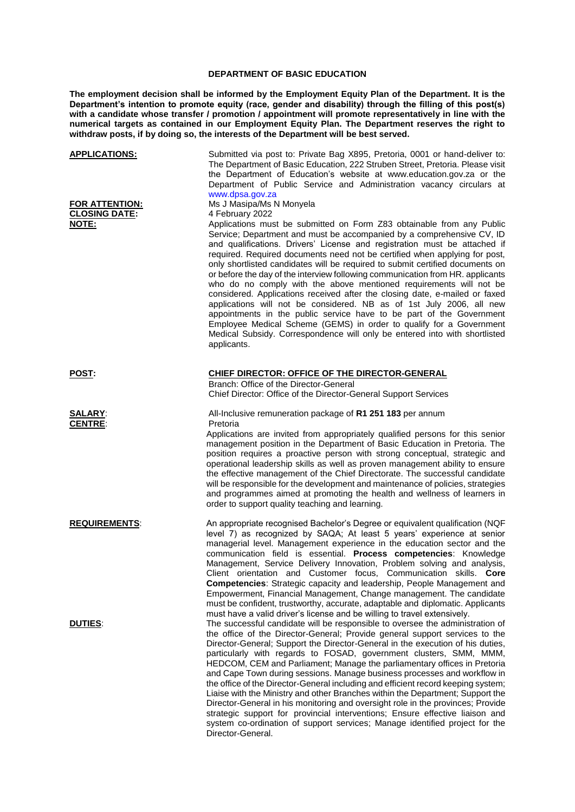## **DEPARTMENT OF BASIC EDUCATION**

**The employment decision shall be informed by the Employment Equity Plan of the Department. It is the Department's intention to promote equity (race, gender and disability) through the filling of this post(s)**  with a candidate whose transfer / promotion / appointment will promote representatively in line with the **numerical targets as contained in our Employment Equity Plan. The Department reserves the right to withdraw posts, if by doing so, the interests of the Department will be best served.**

| <b>APPLICATIONS:</b>                            | Submitted via post to: Private Bag X895, Pretoria, 0001 or hand-deliver to:<br>The Department of Basic Education, 222 Struben Street, Pretoria. Please visit<br>the Department of Education's website at www.education.gov.za or the<br>Department of Public Service and Administration vacancy circulars at<br>www.dpsa.gov.za                                                                                                                                                                                                                                                                                                                                                                                                                                                                                                                                                                                                                                                                      |
|-------------------------------------------------|------------------------------------------------------------------------------------------------------------------------------------------------------------------------------------------------------------------------------------------------------------------------------------------------------------------------------------------------------------------------------------------------------------------------------------------------------------------------------------------------------------------------------------------------------------------------------------------------------------------------------------------------------------------------------------------------------------------------------------------------------------------------------------------------------------------------------------------------------------------------------------------------------------------------------------------------------------------------------------------------------|
| FOR ATTENTION:<br><b>CLOSING DATE:</b><br>NOTE: | Ms J Masipa/Ms N Monyela<br>4 February 2022<br>Applications must be submitted on Form Z83 obtainable from any Public<br>Service; Department and must be accompanied by a comprehensive CV, ID<br>and qualifications. Drivers' License and registration must be attached if<br>required. Required documents need not be certified when applying for post,<br>only shortlisted candidates will be required to submit certified documents on<br>or before the day of the interview following communication from HR. applicants<br>who do no comply with the above mentioned requirements will not be<br>considered. Applications received after the closing date, e-mailed or faxed<br>applications will not be considered. NB as of 1st July 2006, all new<br>appointments in the public service have to be part of the Government<br>Employee Medical Scheme (GEMS) in order to qualify for a Government<br>Medical Subsidy. Correspondence will only be entered into with shortlisted<br>applicants. |
| <b>POST:</b>                                    | <b>CHIEF DIRECTOR: OFFICE OF THE DIRECTOR-GENERAL</b><br>Branch: Office of the Director-General<br>Chief Director: Office of the Director-General Support Services                                                                                                                                                                                                                                                                                                                                                                                                                                                                                                                                                                                                                                                                                                                                                                                                                                   |
| <b>SALARY:</b><br><b>CENTRE:</b>                | All-Inclusive remuneration package of R1 251 183 per annum<br>Pretoria<br>Applications are invited from appropriately qualified persons for this senior<br>management position in the Department of Basic Education in Pretoria. The<br>position requires a proactive person with strong conceptual, strategic and<br>operational leadership skills as well as proven management ability to ensure<br>the effective management of the Chief Directorate. The successful candidate<br>will be responsible for the development and maintenance of policies, strategies<br>and programmes aimed at promoting the health and wellness of learners in<br>order to support quality teaching and learning.                                                                                                                                                                                                                                                                                                  |
| <b>REQUIREMENTS:</b>                            | An appropriate recognised Bachelor's Degree or equivalent qualification (NQF<br>level 7) as recognized by SAQA; At least 5 years' experience at senior<br>managerial level. Management experience in the education sector and the<br>communication field is essential. Process competencies: Knowledge<br>Management, Service Delivery Innovation, Problem solving and analysis,<br>Client orientation and Customer focus, Communication skills. Core<br>Competencies: Strategic capacity and leadership, People Management and<br>Empowerment, Financial Management, Change management. The candidate<br>must be confident, trustworthy, accurate, adaptable and diplomatic. Applicants<br>must have a valid driver's license and be willing to travel extensively.                                                                                                                                                                                                                                 |
| <u>DUTIES:</u>                                  | The successful candidate will be responsible to oversee the administration of<br>the office of the Director-General; Provide general support services to the<br>Director-General; Support the Director-General in the execution of his duties,<br>particularly with regards to FOSAD, government clusters, SMM, MMM,<br>HEDCOM, CEM and Parliament; Manage the parliamentary offices in Pretoria<br>and Cape Town during sessions. Manage business processes and workflow in<br>the office of the Director-General including and efficient record keeping system;<br>Liaise with the Ministry and other Branches within the Department; Support the<br>Director-General in his monitoring and oversight role in the provinces; Provide<br>strategic support for provincial interventions; Ensure effective liaison and<br>system co-ordination of support services; Manage identified project for the<br>Director-General.                                                                           |